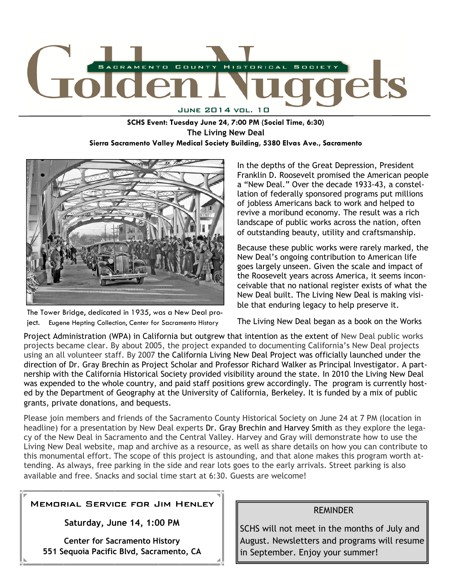

**SCHS Event: Tuesday June 24, 7:00 PM (Social Time, 6:30) The Living New Deal Sierra Sacramento Valley Medical Society Building, 5380 Elvas Ave., Sacramento** 



The Tower Bridge, dedicated in 1935, was a New Deal project. Eugene Hepting Collection, Center for Sacramento History

In the depths of the Great Depression, President Franklin D. Roosevelt promised the American people a "New Deal." Over the decade 1933-43, a constellation of federally sponsored programs put millions of jobless Americans back to work and helped to revive a moribund economy. The result was a rich landscape of public works across the nation, often of outstanding beauty, utility and craftsmanship.

Because these public works were rarely marked, the New Deal's ongoing contribution to American life goes largely unseen. Given the scale and impact of the Roosevelt years across America, it seems inconceivable that no national register exists of what the New Deal built. The Living New Deal is making visible that enduring legacy to help preserve it.

The Living New Deal began as a book on the Works

Project Administration (WPA) in California but outgrew that intention as the extent of New Deal public works projects became clear. By about 2005, the project expanded to documenting California's New Deal projects using an all volunteer staff. By 2007 the California Living New Deal Project was officially launched under the direction of Dr. Gray Brechin as Project Scholar and Professor Richard Walker as Principal Investigator. A partnership with the California Historical Society provided visibility around the state. In 2010 the Living New Deal was expended to the whole country, and paid staff positions grew accordingly. The program is currently hosted by the Department of Geography at the University of California, Berkeley. It is funded by a mix of public grants, private donations, and bequests.

Please join members and friends of the Sacramento County Historical Society on June 24 at 7 PM (location in headline) for a presentation by New Deal experts Dr. Gray Brechin and Harvey Smith as they explore the legacy of the New Deal in Sacramento and the Central Valley. Harvey and Gray will demonstrate how to use the Living New Deal website, map and archive as a resource, as well as share details on how you can contribute to this monumental effort. The scope of this project is astounding, and that alone makes this program worth attending. As always, free parking in the side and rear lots goes to the early arrivals. Street parking is also available and free. Snacks and social time start at 6:30. Guests are welcome!

## MEMORIAL SERVICE FOR JIM HENLEY

**Saturday, June 14, 1:00 PM** 

**Center for Sacramento History 551 Sequoia Pacific Blvd, Sacramento, CA** 

#### REMINDER

SCHS will not meet in the months of July and August. Newsletters and programs will resume in September. Enjoy your summer!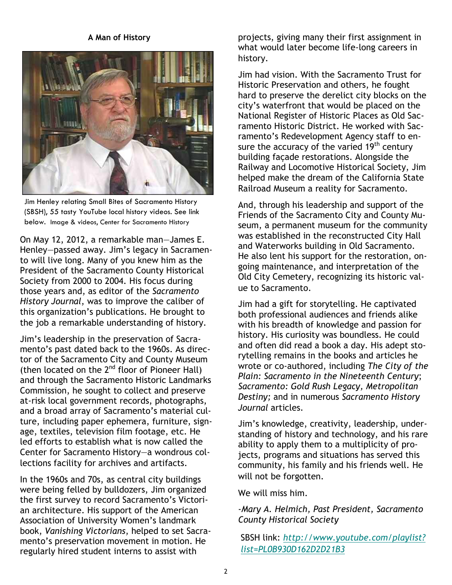### **A Man of History**



Jim Henley relating Small Bites of Sacramento History (SBSH), 55 tasty YouTube local history videos. See link below. Image & videos, Center for Sacramento History

On May 12, 2012, a remarkable man—James E. Henley—passed away. Jim's legacy in Sacramento will live long. Many of you knew him as the President of the Sacramento County Historical Society from 2000 to 2004. His focus during those years and, as editor of the *Sacramento History Journal*, was to improve the caliber of this organization's publications. He brought to the job a remarkable understanding of history.

Jim's leadership in the preservation of Sacramento's past dated back to the 1960s. As director of the Sacramento City and County Museum (then located on the  $2^{nd}$  floor of Pioneer Hall) and through the Sacramento Historic Landmarks Commission, he sought to collect and preserve at-risk local government records, photographs, and a broad array of Sacramento's material culture, including paper ephemera, furniture, signage, textiles, television film footage, etc. He led efforts to establish what is now called the Center for Sacramento History—a wondrous collections facility for archives and artifacts.

In the 1960s and 70s, as central city buildings were being felled by bulldozers, Jim organized the first survey to record Sacramento's Victorian architecture. His support of the American Association of University Women's landmark book, *Vanishing Victorians*, helped to set Sacramento's preservation movement in motion. He regularly hired student interns to assist with

projects, giving many their first assignment in what would later become life-long careers in history.

Jim had vision. With the Sacramento Trust for Historic Preservation and others, he fought hard to preserve the derelict city blocks on the city's waterfront that would be placed on the National Register of Historic Places as Old Sacramento Historic District. He worked with Sacramento's Redevelopment Agency staff to ensure the accuracy of the varied  $19<sup>th</sup>$  century building façade restorations. Alongside the Railway and Locomotive Historical Society, Jim helped make the dream of the California State Railroad Museum a reality for Sacramento.

And, through his leadership and support of the Friends of the Sacramento City and County Museum, a permanent museum for the community was established in the reconstructed City Hall and Waterworks building in Old Sacramento. He also lent his support for the restoration, ongoing maintenance, and interpretation of the Old City Cemetery, recognizing its historic value to Sacramento.

Jim had a gift for storytelling. He captivated both professional audiences and friends alike with his breadth of knowledge and passion for history. His curiosity was boundless. He could and often did read a book a day. His adept storytelling remains in the books and articles he wrote or co-authored, including *The City of the Plain: Sacramento in the Nineteenth Century*; *Sacramento: Gold Rush Legacy, Metropolitan Destiny;* and in numerous *Sacramento History Journal* articles.

Jim's knowledge, creativity, leadership, understanding of history and technology, and his rare ability to apply them to a multiplicity of projects, programs and situations has served this community, his family and his friends well. He will not be forgotten.

We will miss him.

## -*Mary A. Helmich, Past President, Sacramento County Historical Society*

SBSH link: *http://www.youtube.com/playlist? list=PL0B930D162D2D21B3*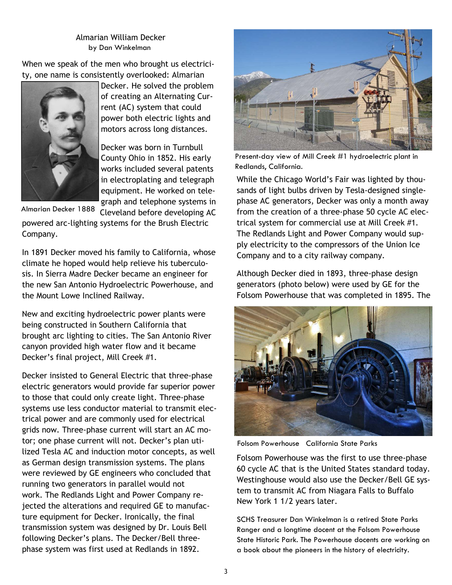Almarian William Decker by Dan Winkelman

When we speak of the men who brought us electricity, one name is consistently overlooked: Almarian



Decker. He solved the problem of creating an Alternating Current (AC) system that could power both electric lights and motors across long distances.

Decker was born in Turnbull County Ohio in 1852. His early works included several patents in electroplating and telegraph equipment. He worked on telegraph and telephone systems in

Almarian Decker 1888

Cleveland before developing AC powered arc-lighting systems for the Brush Electric Company.

In 1891 Decker moved his family to California, whose climate he hoped would help relieve his tuberculosis. In Sierra Madre Decker became an engineer for the new San Antonio Hydroelectric Powerhouse, and the Mount Lowe Inclined Railway.

New and exciting hydroelectric power plants were being constructed in Southern California that brought arc lighting to cities. The San Antonio River canyon provided high water flow and it became Decker's final project, Mill Creek #1.

Decker insisted to General Electric that three-phase electric generators would provide far superior power to those that could only create light. Three-phase systems use less conductor material to transmit electrical power and are commonly used for electrical grids now. Three-phase current will start an AC motor; one phase current will not. Decker's plan utilized Tesla AC and induction motor concepts, as well as German design transmission systems. The plans were reviewed by GE engineers who concluded that running two generators in parallel would not work. The Redlands Light and Power Company rejected the alterations and required GE to manufacture equipment for Decker. Ironically, the final transmission system was designed by Dr. Louis Bell following Decker's plans. The Decker/Bell threephase system was first used at Redlands in 1892.



Present-day view of Mill Creek #1 hydroelectric plant in Redlands, California.

While the Chicago World's Fair was lighted by thousands of light bulbs driven by Tesla-designed singlephase AC generators, Decker was only a month away from the creation of a three-phase 50 cycle AC electrical system for commercial use at Mill Creek #1. The Redlands Light and Power Company would supply electricity to the compressors of the Union Ice Company and to a city railway company.

Although Decker died in 1893, three-phase design generators (photo below) were used by GE for the Folsom Powerhouse that was completed in 1895. The



Folsom Powerhouse California State Parks

Folsom Powerhouse was the first to use three-phase 60 cycle AC that is the United States standard today. Westinghouse would also use the Decker/Bell GE system to transmit AC from Niagara Falls to Buffalo New York 1 1/2 years later.

SCHS Treasurer Dan Winkelman is a retired State Parks Ranger and a longtime docent at the Folsom Powerhouse State Historic Park. The Powerhouse docents are working on a book about the pioneers in the history of electricity.